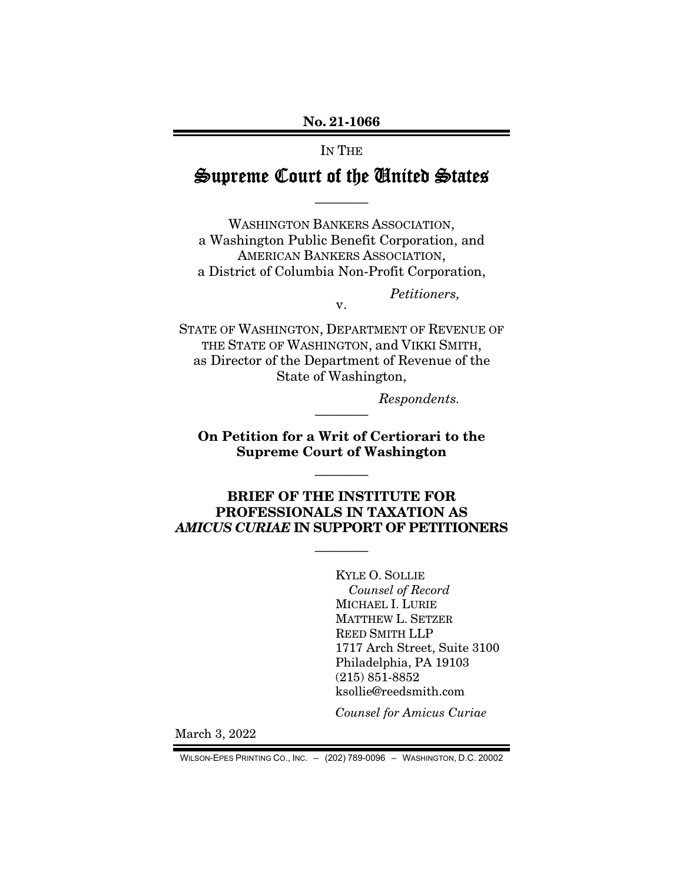## No. 21-1066

## IN THE

## Supreme Court of the United States

————

WASHINGTON BANKERS ASSOCIATION, a Washington Public Benefit Corporation, and AMERICAN BANKERS ASSOCIATION, a District of Columbia Non-Profit Corporation,

STATE OF WASHINGTON, DEPARTMENT OF REVENUE OF THE STATE OF WASHINGTON, and VIKKI SMITH, as Director of the Department of Revenue of the State of Washington,

v.

*Respondents.* 

*Petitioners,* 

On Petition for a Writ of Certiorari to the Supreme Court of Washington

————

————

## BRIEF OF THE INSTITUTE FOR PROFESSIONALS IN TAXATION AS *AMICUS CURIAE* IN SUPPORT OF PETITIONERS

————

KYLE O. SOLLIE *Counsel of Record*  MICHAEL I. LURIE MATTHEW L. SETZER REED SMITH LLP 1717 Arch Street, Suite 3100 Philadelphia, PA 19103 (215) 851-8852 ksollie@reedsmith.com

*Counsel for Amicus Curiae* 

March 3, 2022

WILSON-EPES PRINTING CO., INC. – (202) 789-0096 – WASHINGTON, D.C. 20002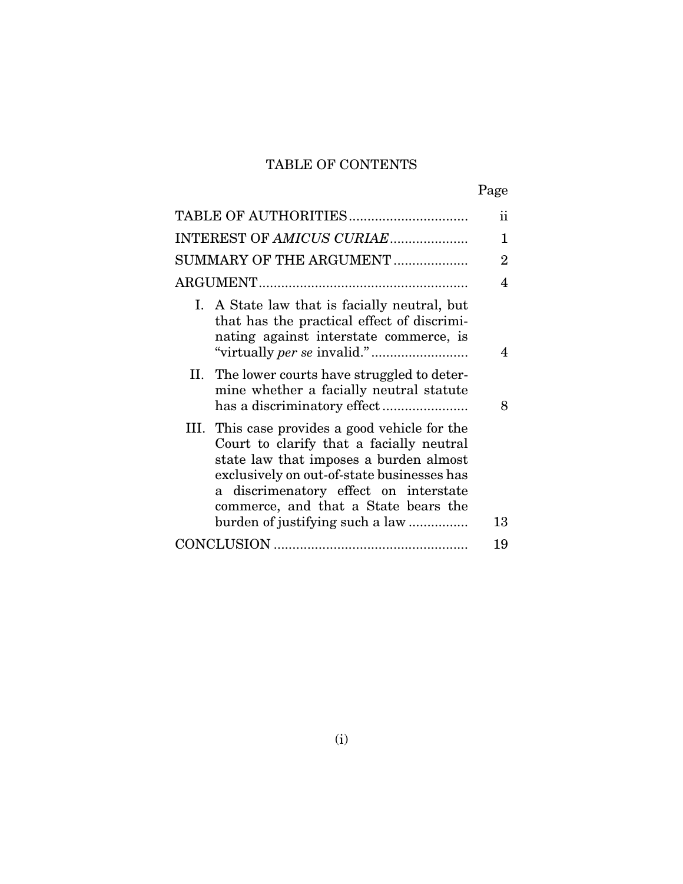## TABLE OF CONTENTS

|--|

|                                                                                                                                                                                                                                                                                                        | ii             |
|--------------------------------------------------------------------------------------------------------------------------------------------------------------------------------------------------------------------------------------------------------------------------------------------------------|----------------|
| INTEREST OF AMICUS CURIAE                                                                                                                                                                                                                                                                              | 1              |
| SUMMARY OF THE ARGUMENT                                                                                                                                                                                                                                                                                | $\overline{2}$ |
|                                                                                                                                                                                                                                                                                                        | 4              |
| I. A State law that is facially neutral, but<br>that has the practical effect of discrimi-<br>nating against interstate commerce, is                                                                                                                                                                   | 4              |
| II. The lower courts have struggled to deter-<br>mine whether a facially neutral statute                                                                                                                                                                                                               | 8              |
| III. This case provides a good vehicle for the<br>Court to clarify that a facially neutral<br>state law that imposes a burden almost<br>exclusively on out-of-state businesses has<br>a discrimenatory effect on interstate<br>commerce, and that a State bears the<br>burden of justifying such a law | 13             |
|                                                                                                                                                                                                                                                                                                        | 19             |
|                                                                                                                                                                                                                                                                                                        |                |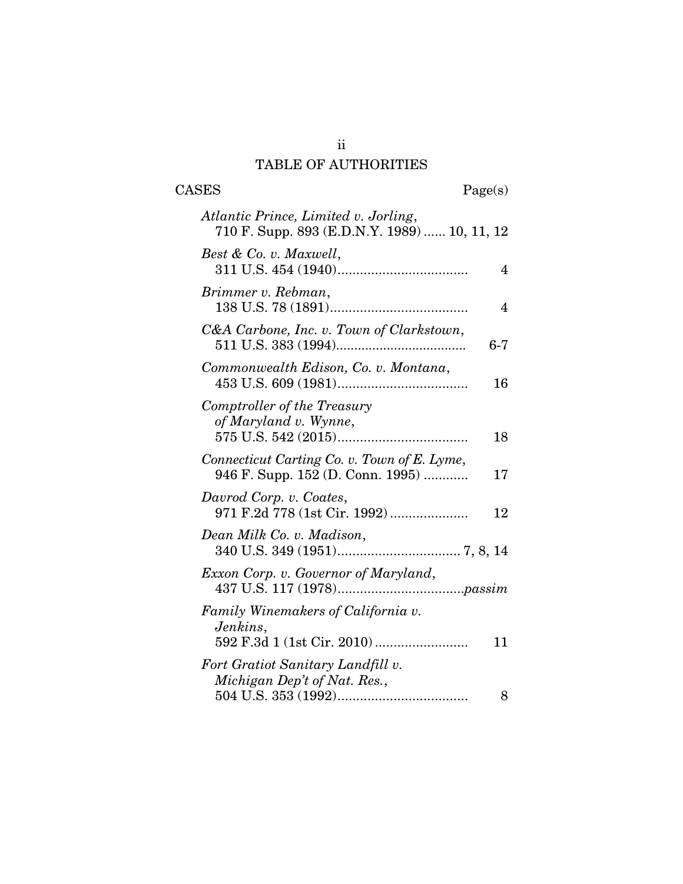# TABLE OF AUTHORITIES

CASES Page(s)

| Atlantic Prince, Limited v. Jorling,<br>710 F. Supp. 893 (E.D.N.Y. 1989)  10, 11, 12  |
|---------------------------------------------------------------------------------------|
| Best & Co. v. Maxwell,<br>$\overline{4}$                                              |
| Brimmer v. Rebman,<br>$\overline{4}$                                                  |
| C&A Carbone, Inc. v. Town of Clarkstown,<br>$6 - 7$                                   |
| Commonwealth Edison, Co. v. Montana,<br>16                                            |
| Comptroller of the Treasury<br>of Maryland v. Wynne,<br>18                            |
| Connecticut Carting Co. v. Town of E. Lyme,<br>946 F. Supp. 152 (D. Conn. 1995)<br>17 |
| Davrod Corp. v. Coates,<br>971 F.2d 778 (1st Cir. 1992)<br>12                         |
| Dean Milk Co. v. Madison,                                                             |
| Exxon Corp. v. Governor of Maryland,                                                  |
| <b>Family Winemakers of California v.</b><br>Jenkins,<br>11                           |
| Fort Gratiot Sanitary Landfill v.<br>Michigan Dep't of Nat. Res.,<br>8                |

ii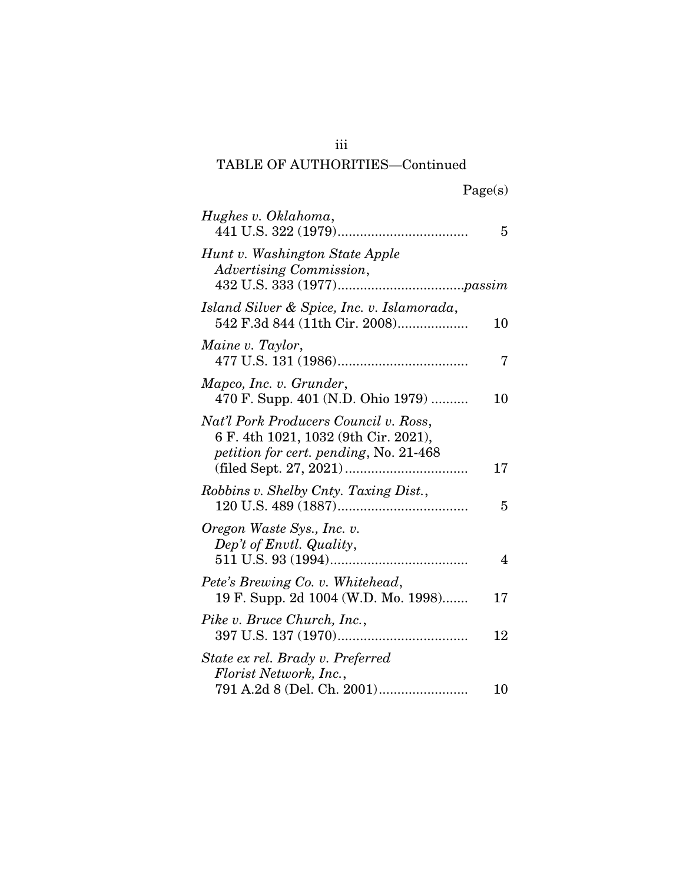# TABLE OF AUTHORITIES—Continued

| Hughes v. Oklahoma,                                                                                                     | 5  |
|-------------------------------------------------------------------------------------------------------------------------|----|
| Hunt v. Washington State Apple<br>Advertising Commission,                                                               |    |
| Island Silver & Spice, Inc. v. Islamorada,<br>542 F.3d 844 (11th Cir. 2008)                                             | 10 |
| Maine v. Taylor,                                                                                                        | 7  |
| Mapco, Inc. v. Grunder,<br>470 F. Supp. 401 (N.D. Ohio 1979)                                                            | 10 |
| Nat'l Pork Producers Council v. Ross,<br>6 F. 4th 1021, 1032 (9th Cir. 2021),<br>petition for cert. pending, No. 21-468 | 17 |
| Robbins v. Shelby Cnty. Taxing Dist.,                                                                                   | 5  |
| Oregon Waste Sys., Inc. v.<br>Dep't of Envtl. Quality,                                                                  | 4  |
| Pete's Brewing Co. v. Whitehead,<br>19 F. Supp. 2d 1004 (W.D. Mo. 1998)                                                 | 17 |
| Pike v. Bruce Church, Inc.,                                                                                             | 12 |
| State ex rel. Brady v. Preferred<br>Florist Network, Inc.,                                                              | 10 |

iii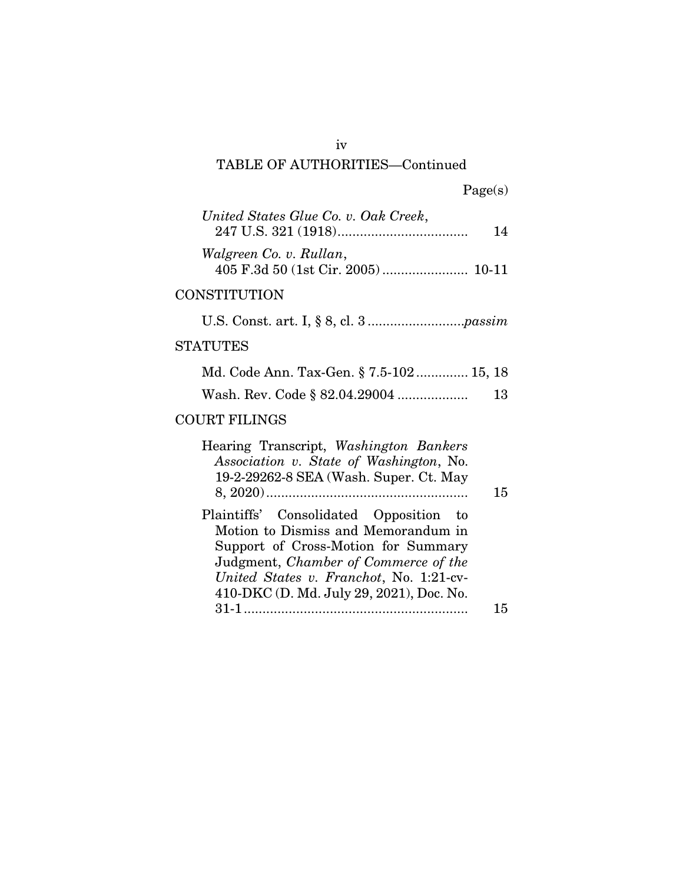## iv

# TABLE OF AUTHORITIES—Continued

|  | Page(s) |
|--|---------|
|  |         |

| United States Glue Co. v. Oak Creek,<br>14 |
|--------------------------------------------|
| Walgreen Co. v. Rullan,                    |
| <b>CONSTITUTION</b>                        |
|                                            |
| <b>STATUTES</b>                            |
| Md. Code Ann. Tax-Gen. § 7.5-102 15, 18    |

|  | Wash. Rev. Code § 82.04.29004 | 13 |
|--|-------------------------------|----|
|  |                               |    |

## COURT FILINGS

| Hearing Transcript, Washington Bankers   |    |
|------------------------------------------|----|
| Association v. State of Washington, No.  |    |
| 19-2-29262-8 SEA (Wash. Super. Ct. May   |    |
|                                          | 15 |
| Plaintiffs' Consolidated Opposition to   |    |
|                                          |    |
| Motion to Dismiss and Memorandum in      |    |
| Support of Cross-Motion for Summary      |    |
| Judgment, Chamber of Commerce of the     |    |
| United States v. Franchot, No. 1:21-cv-  |    |
| 410-DKC (D. Md. July 29, 2021), Doc. No. |    |
|                                          | 15 |
|                                          |    |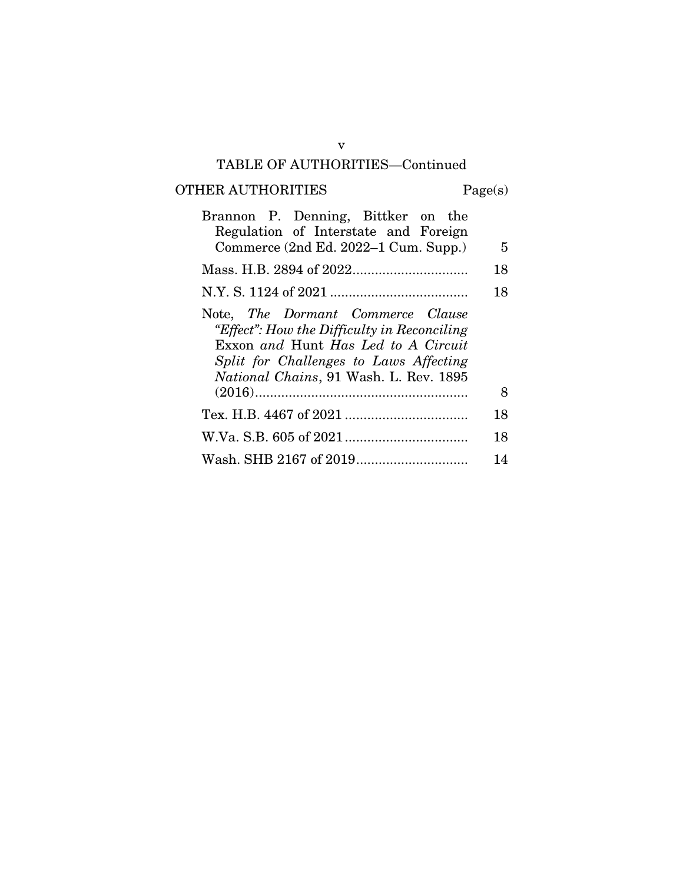## TABLE OF AUTHORITIES—Continued

# OTHER AUTHORITIES Page(s)

| Brannon P. Denning, Bittker on the<br>Regulation of Interstate and Foreign<br>Commerce (2nd Ed. 2022–1 Cum. Supp.)                                                                                                  | 5  |
|---------------------------------------------------------------------------------------------------------------------------------------------------------------------------------------------------------------------|----|
|                                                                                                                                                                                                                     | 18 |
|                                                                                                                                                                                                                     | 18 |
| Note, The Dormant Commerce Clause<br>"Effect": How the Difficulty in Reconciling<br>Exxon and Hunt Has Led to A Circuit<br>Split for Challenges to Laws Affecting<br><i>National Chains</i> , 91 Wash. L. Rev. 1895 |    |
|                                                                                                                                                                                                                     | 8  |
|                                                                                                                                                                                                                     | 18 |
|                                                                                                                                                                                                                     | 18 |
|                                                                                                                                                                                                                     | 14 |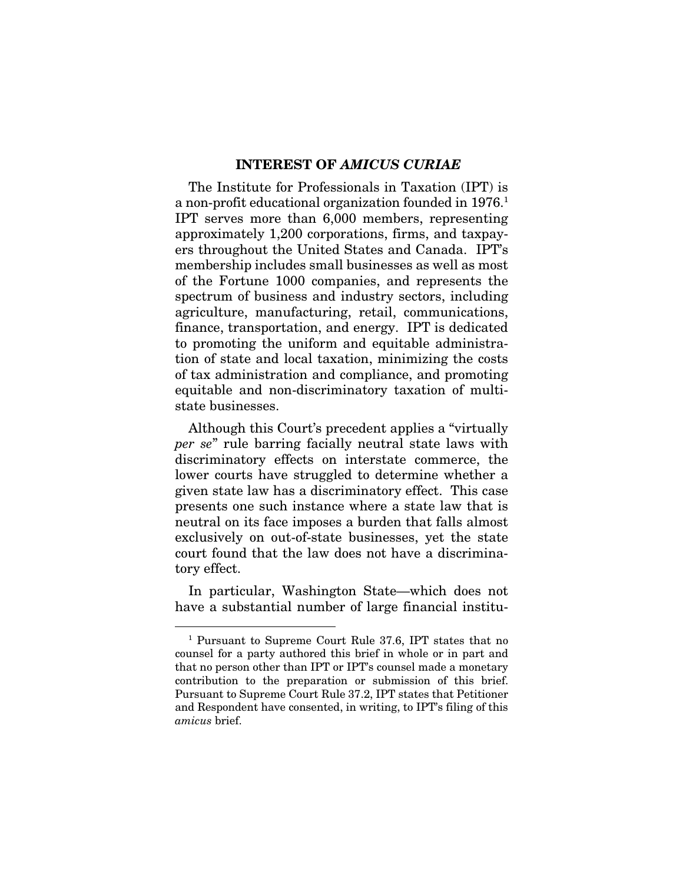#### INTEREST OF *AMICUS CURIAE*

The Institute for Professionals in Taxation (IPT) is a non-profit educational organization founded in 1976.<sup>1</sup> IPT serves more than 6,000 members, representing approximately 1,200 corporations, firms, and taxpayers throughout the United States and Canada. IPT's membership includes small businesses as well as most of the Fortune 1000 companies, and represents the spectrum of business and industry sectors, including agriculture, manufacturing, retail, communications, finance, transportation, and energy. IPT is dedicated to promoting the uniform and equitable administration of state and local taxation, minimizing the costs of tax administration and compliance, and promoting equitable and non-discriminatory taxation of multistate businesses.

Although this Court's precedent applies a "virtually *per se*" rule barring facially neutral state laws with discriminatory effects on interstate commerce, the lower courts have struggled to determine whether a given state law has a discriminatory effect. This case presents one such instance where a state law that is neutral on its face imposes a burden that falls almost exclusively on out-of-state businesses, yet the state court found that the law does not have a discriminatory effect.

In particular, Washington State—which does not have a substantial number of large financial institu-

<sup>1</sup> Pursuant to Supreme Court Rule 37.6, IPT states that no counsel for a party authored this brief in whole or in part and that no person other than IPT or IPT's counsel made a monetary contribution to the preparation or submission of this brief. Pursuant to Supreme Court Rule 37.2, IPT states that Petitioner and Respondent have consented, in writing, to IPT's filing of this *amicus* brief.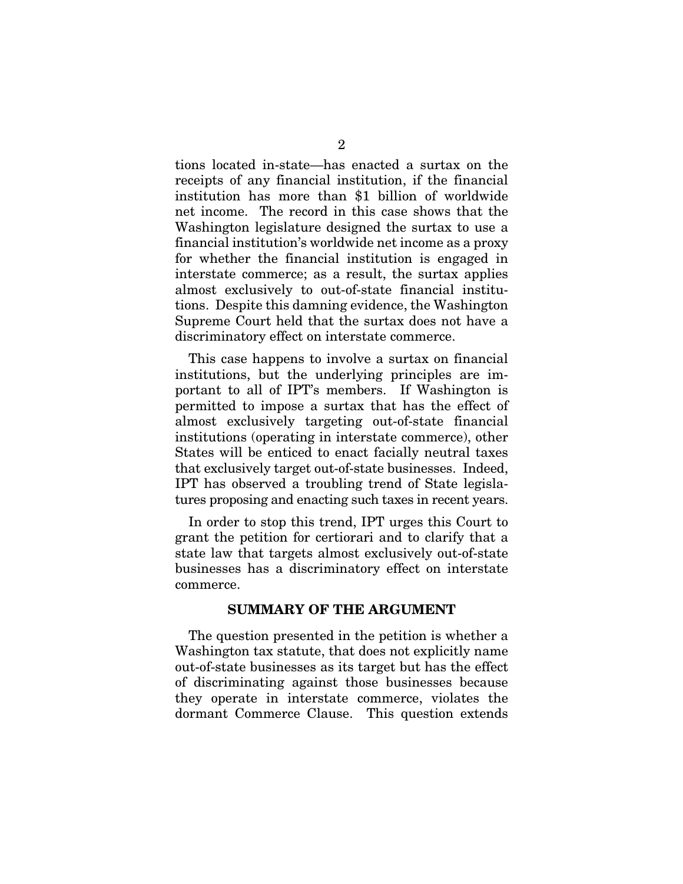tions located in-state—has enacted a surtax on the receipts of any financial institution, if the financial institution has more than \$1 billion of worldwide net income. The record in this case shows that the Washington legislature designed the surtax to use a financial institution's worldwide net income as a proxy for whether the financial institution is engaged in interstate commerce; as a result, the surtax applies almost exclusively to out-of-state financial institutions. Despite this damning evidence, the Washington Supreme Court held that the surtax does not have a discriminatory effect on interstate commerce.

This case happens to involve a surtax on financial institutions, but the underlying principles are important to all of IPT's members. If Washington is permitted to impose a surtax that has the effect of almost exclusively targeting out-of-state financial institutions (operating in interstate commerce), other States will be enticed to enact facially neutral taxes that exclusively target out-of-state businesses. Indeed, IPT has observed a troubling trend of State legislatures proposing and enacting such taxes in recent years.

In order to stop this trend, IPT urges this Court to grant the petition for certiorari and to clarify that a state law that targets almost exclusively out-of-state businesses has a discriminatory effect on interstate commerce.

## SUMMARY OF THE ARGUMENT

The question presented in the petition is whether a Washington tax statute, that does not explicitly name out-of-state businesses as its target but has the effect of discriminating against those businesses because they operate in interstate commerce, violates the dormant Commerce Clause. This question extends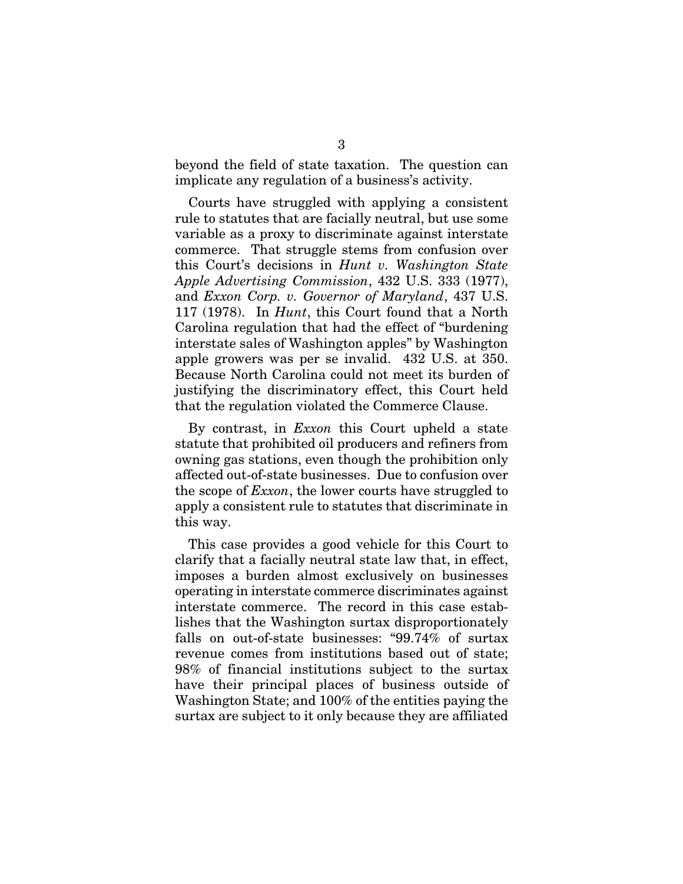beyond the field of state taxation. The question can implicate any regulation of a business's activity.

Courts have struggled with applying a consistent rule to statutes that are facially neutral, but use some variable as a proxy to discriminate against interstate commerce. That struggle stems from confusion over this Court's decisions in *Hunt v. Washington State Apple Advertising Commission*, 432 U.S. 333 (1977), and *Exxon Corp. v. Governor of Maryland*, 437 U.S. 117 (1978). In *Hunt*, this Court found that a North Carolina regulation that had the effect of "burdening interstate sales of Washington apples" by Washington apple growers was per se invalid. 432 U.S. at 350. Because North Carolina could not meet its burden of justifying the discriminatory effect, this Court held that the regulation violated the Commerce Clause.

By contrast, in *Exxon* this Court upheld a state statute that prohibited oil producers and refiners from owning gas stations, even though the prohibition only affected out-of-state businesses. Due to confusion over the scope of *Exxon*, the lower courts have struggled to apply a consistent rule to statutes that discriminate in this way.

This case provides a good vehicle for this Court to clarify that a facially neutral state law that, in effect, imposes a burden almost exclusively on businesses operating in interstate commerce discriminates against interstate commerce. The record in this case establishes that the Washington surtax disproportionately falls on out-of-state businesses: "99.74% of surtax revenue comes from institutions based out of state; 98% of financial institutions subject to the surtax have their principal places of business outside of Washington State; and 100% of the entities paying the surtax are subject to it only because they are affiliated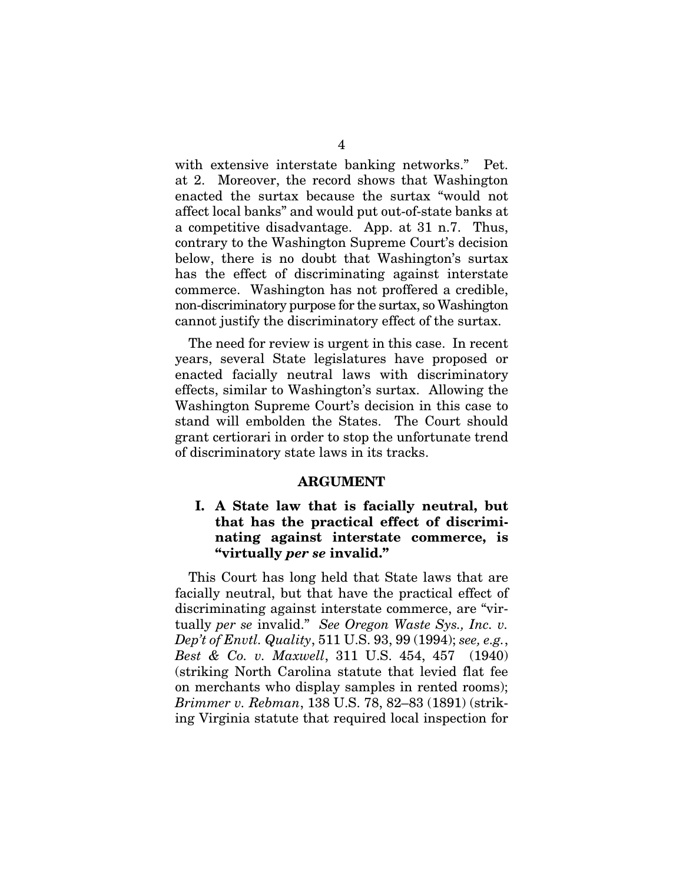with extensive interstate banking networks." Pet. at 2. Moreover, the record shows that Washington enacted the surtax because the surtax "would not affect local banks" and would put out-of-state banks at a competitive disadvantage. App. at 31 n.7. Thus, contrary to the Washington Supreme Court's decision below, there is no doubt that Washington's surtax has the effect of discriminating against interstate commerce. Washington has not proffered a credible, non-discriminatory purpose for the surtax, so Washington cannot justify the discriminatory effect of the surtax.

The need for review is urgent in this case. In recent years, several State legislatures have proposed or enacted facially neutral laws with discriminatory effects, similar to Washington's surtax. Allowing the Washington Supreme Court's decision in this case to stand will embolden the States. The Court should grant certiorari in order to stop the unfortunate trend of discriminatory state laws in its tracks.

#### ARGUMENT

## I. A State law that is facially neutral, but that has the practical effect of discriminating against interstate commerce, is "virtually *per se* invalid."

This Court has long held that State laws that are facially neutral, but that have the practical effect of discriminating against interstate commerce, are "virtually *per se* invalid." *See Oregon Waste Sys., Inc. v. Dep't of Envtl. Quality*, 511 U.S. 93, 99 (1994); *see, e.g.*, *Best & Co. v. Maxwell*, 311 U.S. 454, 457 (1940) (striking North Carolina statute that levied flat fee on merchants who display samples in rented rooms); *Brimmer v. Rebman*, 138 U.S. 78, 82–83 (1891) (striking Virginia statute that required local inspection for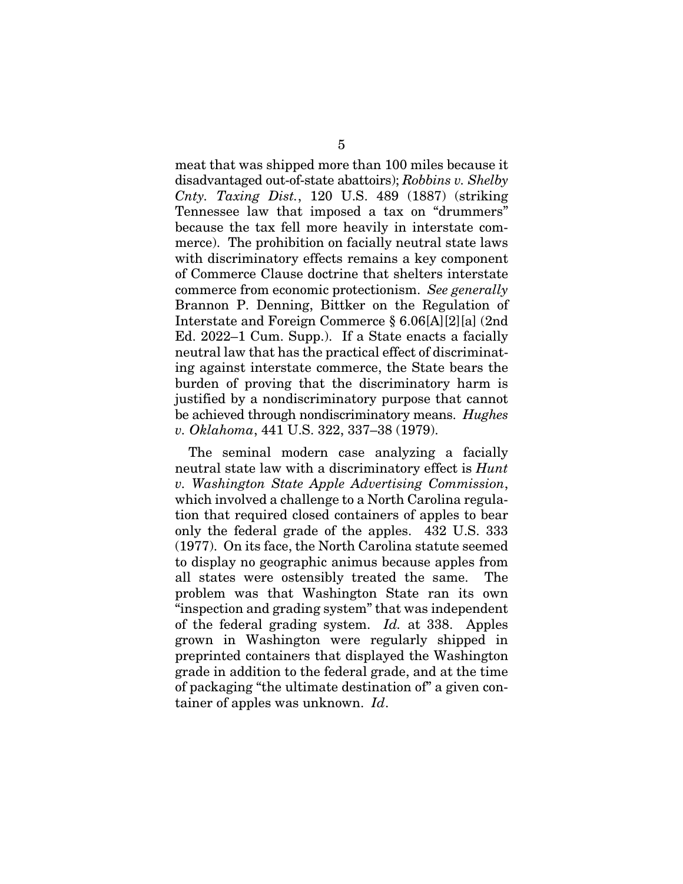meat that was shipped more than 100 miles because it disadvantaged out-of-state abattoirs); *Robbins v. Shelby Cnty. Taxing Dist.*, 120 U.S. 489 (1887) (striking Tennessee law that imposed a tax on "drummers" because the tax fell more heavily in interstate commerce). The prohibition on facially neutral state laws with discriminatory effects remains a key component of Commerce Clause doctrine that shelters interstate commerce from economic protectionism. *See generally*  Brannon P. Denning, Bittker on the Regulation of Interstate and Foreign Commerce § 6.06[A][2][a] (2nd Ed. 2022–1 Cum. Supp.). If a State enacts a facially neutral law that has the practical effect of discriminating against interstate commerce, the State bears the burden of proving that the discriminatory harm is justified by a nondiscriminatory purpose that cannot be achieved through nondiscriminatory means. *Hughes v. Oklahoma*, 441 U.S. 322, 337–38 (1979).

The seminal modern case analyzing a facially neutral state law with a discriminatory effect is *Hunt v. Washington State Apple Advertising Commission*, which involved a challenge to a North Carolina regulation that required closed containers of apples to bear only the federal grade of the apples. 432 U.S. 333 (1977). On its face, the North Carolina statute seemed to display no geographic animus because apples from all states were ostensibly treated the same. The problem was that Washington State ran its own "inspection and grading system" that was independent of the federal grading system. *Id.* at 338. Apples grown in Washington were regularly shipped in preprinted containers that displayed the Washington grade in addition to the federal grade, and at the time of packaging "the ultimate destination of" a given container of apples was unknown. *Id*.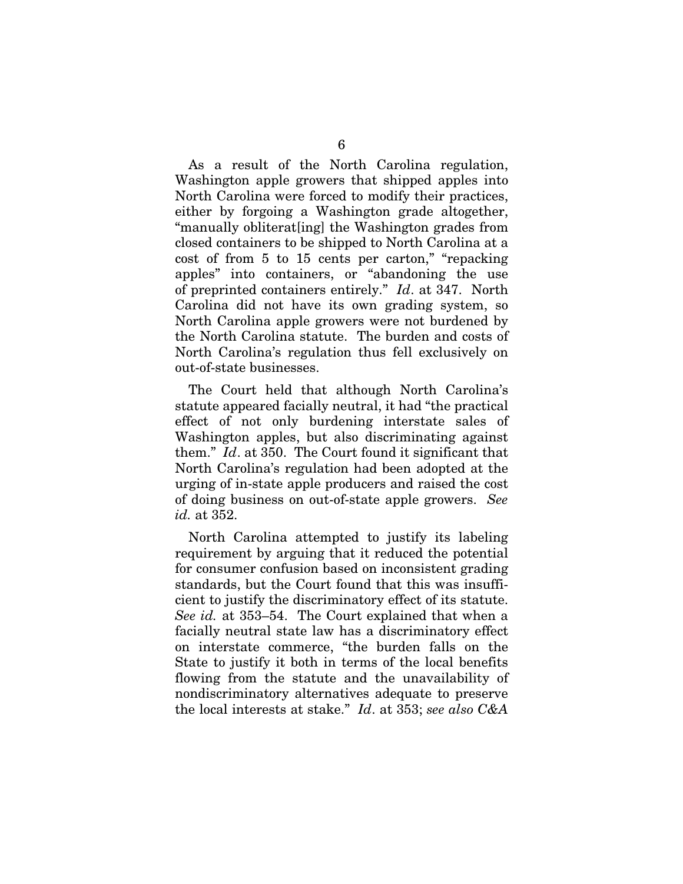As a result of the North Carolina regulation, Washington apple growers that shipped apples into North Carolina were forced to modify their practices, either by forgoing a Washington grade altogether, "manually obliterat[ing] the Washington grades from closed containers to be shipped to North Carolina at a cost of from 5 to 15 cents per carton," "repacking apples" into containers, or "abandoning the use of preprinted containers entirely." *Id*. at 347. North Carolina did not have its own grading system, so North Carolina apple growers were not burdened by the North Carolina statute. The burden and costs of North Carolina's regulation thus fell exclusively on out-of-state businesses.

The Court held that although North Carolina's statute appeared facially neutral, it had "the practical effect of not only burdening interstate sales of Washington apples, but also discriminating against them." *Id*. at 350. The Court found it significant that North Carolina's regulation had been adopted at the urging of in-state apple producers and raised the cost of doing business on out-of-state apple growers. *See id.* at 352.

North Carolina attempted to justify its labeling requirement by arguing that it reduced the potential for consumer confusion based on inconsistent grading standards, but the Court found that this was insufficient to justify the discriminatory effect of its statute. *See id.* at 353–54. The Court explained that when a facially neutral state law has a discriminatory effect on interstate commerce, "the burden falls on the State to justify it both in terms of the local benefits flowing from the statute and the unavailability of nondiscriminatory alternatives adequate to preserve the local interests at stake." *Id*. at 353; *see also C&A*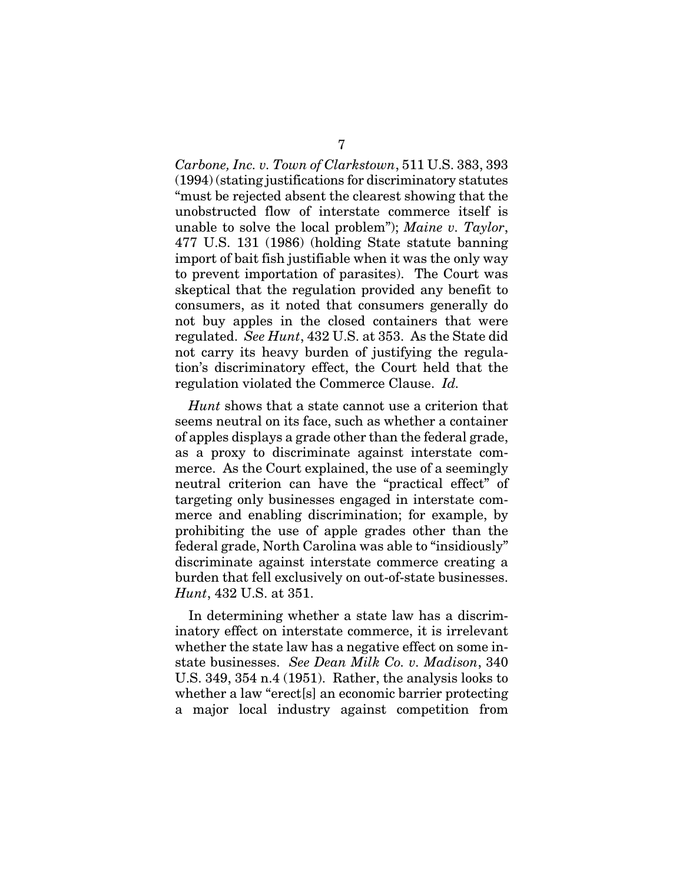*Carbone, Inc. v. Town of Clarkstown*, 511 U.S. 383, 393 (1994) (stating justifications for discriminatory statutes "must be rejected absent the clearest showing that the unobstructed flow of interstate commerce itself is unable to solve the local problem"); *Maine v. Taylor*, 477 U.S. 131 (1986) (holding State statute banning import of bait fish justifiable when it was the only way to prevent importation of parasites). The Court was skeptical that the regulation provided any benefit to consumers, as it noted that consumers generally do not buy apples in the closed containers that were regulated. *See Hunt*, 432 U.S. at 353. As the State did not carry its heavy burden of justifying the regulation's discriminatory effect, the Court held that the regulation violated the Commerce Clause. *Id.*

*Hunt* shows that a state cannot use a criterion that seems neutral on its face, such as whether a container of apples displays a grade other than the federal grade, as a proxy to discriminate against interstate commerce. As the Court explained, the use of a seemingly neutral criterion can have the "practical effect" of targeting only businesses engaged in interstate commerce and enabling discrimination; for example, by prohibiting the use of apple grades other than the federal grade, North Carolina was able to "insidiously" discriminate against interstate commerce creating a burden that fell exclusively on out-of-state businesses. *Hunt*, 432 U.S. at 351.

In determining whether a state law has a discriminatory effect on interstate commerce, it is irrelevant whether the state law has a negative effect on some instate businesses. *See Dean Milk Co. v. Madison*, 340 U.S. 349, 354 n.4 (1951). Rather, the analysis looks to whether a law "erect[s] an economic barrier protecting a major local industry against competition from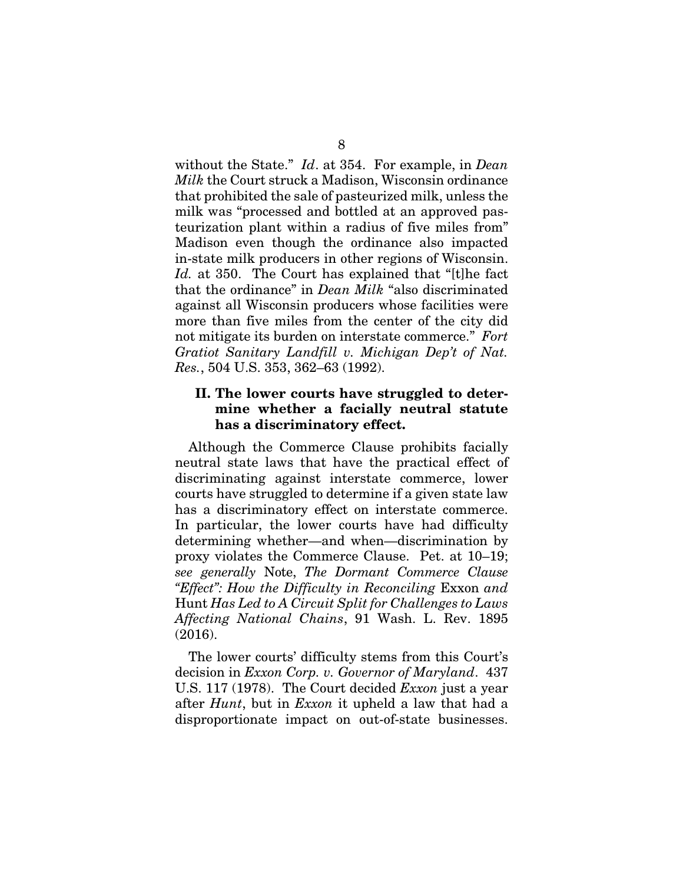without the State." *Id*. at 354. For example, in *Dean Milk* the Court struck a Madison, Wisconsin ordinance that prohibited the sale of pasteurized milk, unless the milk was "processed and bottled at an approved pasteurization plant within a radius of five miles from" Madison even though the ordinance also impacted in-state milk producers in other regions of Wisconsin. *Id.* at 350. The Court has explained that "[t]he fact that the ordinance" in *Dean Milk* "also discriminated against all Wisconsin producers whose facilities were more than five miles from the center of the city did not mitigate its burden on interstate commerce." *Fort Gratiot Sanitary Landfill v. Michigan Dep't of Nat. Res.*, 504 U.S. 353, 362–63 (1992).

## II. The lower courts have struggled to determine whether a facially neutral statute has a discriminatory effect.

Although the Commerce Clause prohibits facially neutral state laws that have the practical effect of discriminating against interstate commerce, lower courts have struggled to determine if a given state law has a discriminatory effect on interstate commerce. In particular, the lower courts have had difficulty determining whether—and when—discrimination by proxy violates the Commerce Clause. Pet. at 10–19; *see generally* Note, *The Dormant Commerce Clause "Effect": How the Difficulty in Reconciling* Exxon *and*  Hunt *Has Led to A Circuit Split for Challenges to Laws Affecting National Chains*, 91 Wash. L. Rev. 1895 (2016).

The lower courts' difficulty stems from this Court's decision in *Exxon Corp. v. Governor of Maryland*. 437 U.S. 117 (1978). The Court decided *Exxon* just a year after *Hunt*, but in *Exxon* it upheld a law that had a disproportionate impact on out-of-state businesses.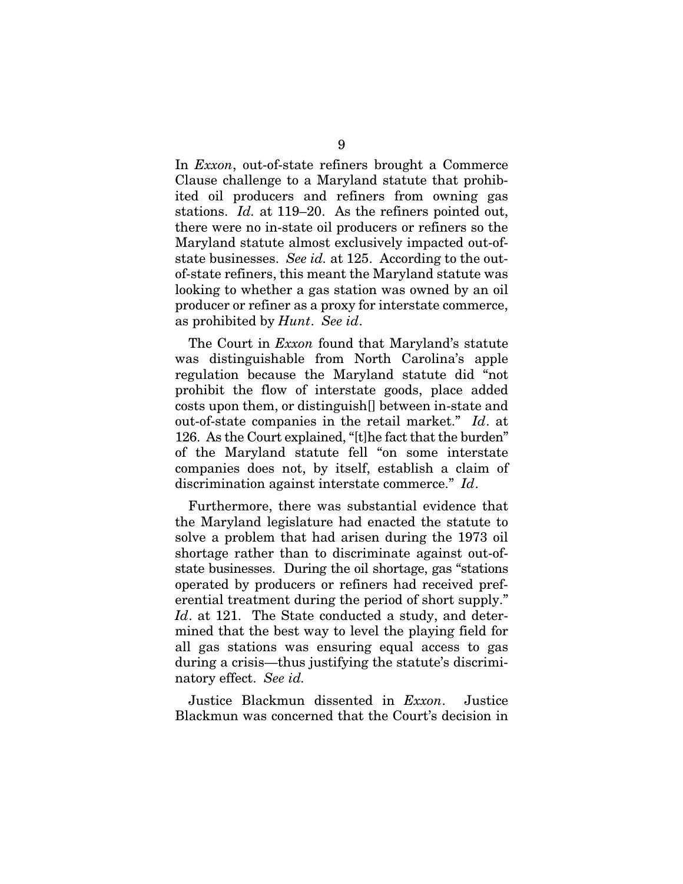In *Exxon*, out-of-state refiners brought a Commerce Clause challenge to a Maryland statute that prohibited oil producers and refiners from owning gas stations. *Id.* at 119–20. As the refiners pointed out, there were no in-state oil producers or refiners so the Maryland statute almost exclusively impacted out-ofstate businesses. *See id.* at 125. According to the outof-state refiners, this meant the Maryland statute was looking to whether a gas station was owned by an oil producer or refiner as a proxy for interstate commerce, as prohibited by *Hunt*. *See id*.

The Court in *Exxon* found that Maryland's statute was distinguishable from North Carolina's apple regulation because the Maryland statute did "not prohibit the flow of interstate goods, place added costs upon them, or distinguish[] between in-state and out-of-state companies in the retail market." *Id*. at 126. As the Court explained, "[t]he fact that the burden" of the Maryland statute fell "on some interstate companies does not, by itself, establish a claim of discrimination against interstate commerce." *Id*.

Furthermore, there was substantial evidence that the Maryland legislature had enacted the statute to solve a problem that had arisen during the 1973 oil shortage rather than to discriminate against out-ofstate businesses. During the oil shortage, gas "stations operated by producers or refiners had received preferential treatment during the period of short supply." *Id.* at 121. The State conducted a study, and determined that the best way to level the playing field for all gas stations was ensuring equal access to gas during a crisis—thus justifying the statute's discriminatory effect. *See id.*

Justice Blackmun dissented in *Exxon*. Justice Blackmun was concerned that the Court's decision in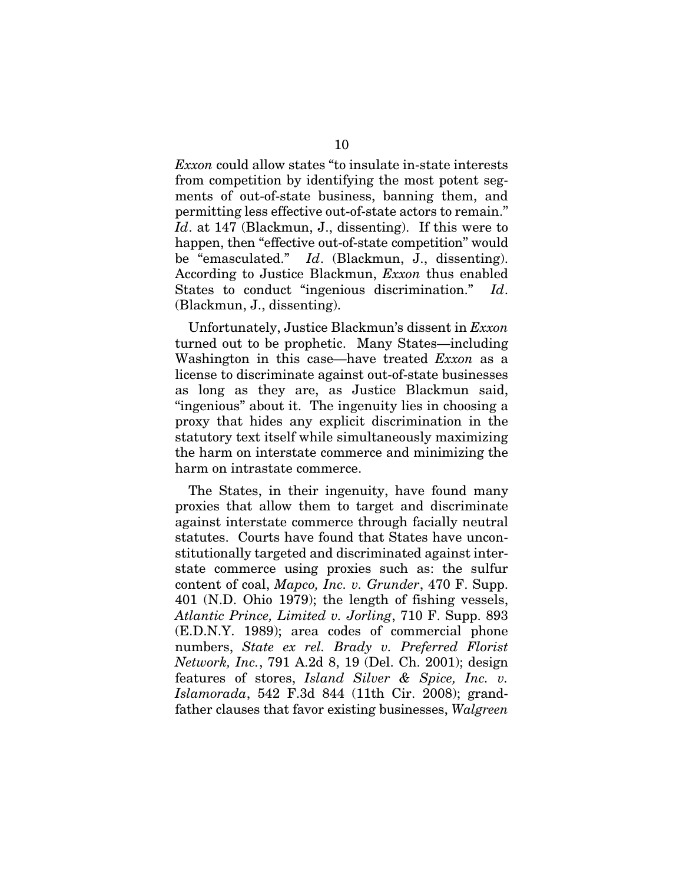*Exxon* could allow states "to insulate in-state interests from competition by identifying the most potent segments of out-of-state business, banning them, and permitting less effective out-of-state actors to remain." *Id*. at 147 (Blackmun, J., dissenting). If this were to happen, then "effective out-of-state competition" would be "emasculated." *Id*. (Blackmun, J., dissenting). According to Justice Blackmun, *Exxon* thus enabled States to conduct "ingenious discrimination." *Id*. (Blackmun, J., dissenting).

Unfortunately, Justice Blackmun's dissent in *Exxon*  turned out to be prophetic. Many States—including Washington in this case—have treated *Exxon* as a license to discriminate against out-of-state businesses as long as they are, as Justice Blackmun said, "ingenious" about it. The ingenuity lies in choosing a proxy that hides any explicit discrimination in the statutory text itself while simultaneously maximizing the harm on interstate commerce and minimizing the harm on intrastate commerce.

The States, in their ingenuity, have found many proxies that allow them to target and discriminate against interstate commerce through facially neutral statutes. Courts have found that States have unconstitutionally targeted and discriminated against interstate commerce using proxies such as: the sulfur content of coal, *Mapco, Inc. v. Grunder*, 470 F. Supp. 401 (N.D. Ohio 1979); the length of fishing vessels, *Atlantic Prince, Limited v. Jorling*, 710 F. Supp. 893 (E.D.N.Y. 1989); area codes of commercial phone numbers, *State ex rel. Brady v. Preferred Florist Network, Inc.*, 791 A.2d 8, 19 (Del. Ch. 2001); design features of stores, *Island Silver & Spice, Inc. v. Islamorada*, 542 F.3d 844 (11th Cir. 2008); grandfather clauses that favor existing businesses, *Walgreen*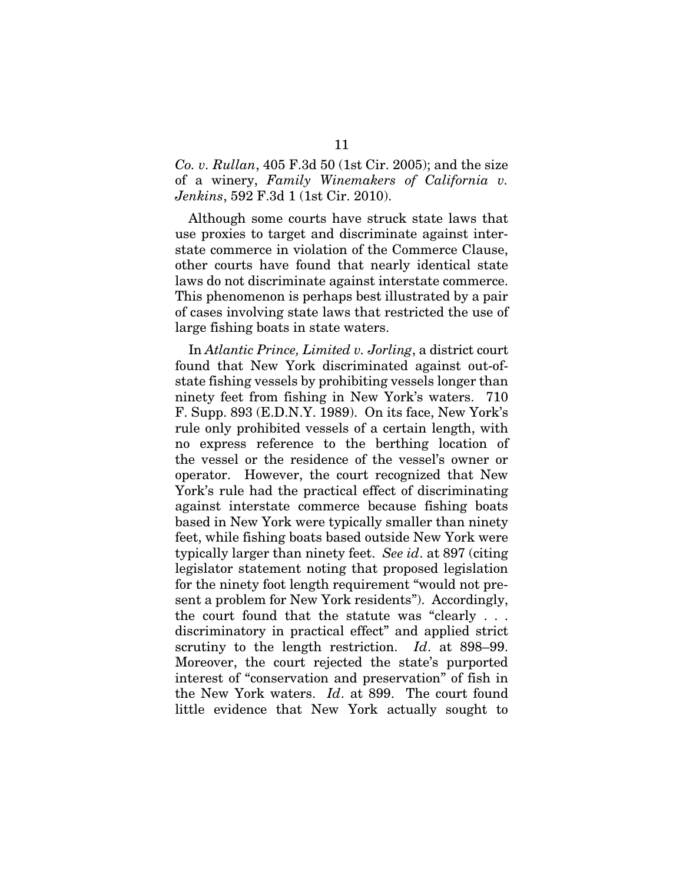## *Co. v. Rullan*, 405 F.3d 50 (1st Cir. 2005); and the size of a winery, *Family Winemakers of California v. Jenkins*, 592 F.3d 1 (1st Cir. 2010).

Although some courts have struck state laws that use proxies to target and discriminate against interstate commerce in violation of the Commerce Clause, other courts have found that nearly identical state laws do not discriminate against interstate commerce. This phenomenon is perhaps best illustrated by a pair of cases involving state laws that restricted the use of large fishing boats in state waters.

In *Atlantic Prince, Limited v. Jorling*, a district court found that New York discriminated against out-ofstate fishing vessels by prohibiting vessels longer than ninety feet from fishing in New York's waters. 710 F. Supp. 893 (E.D.N.Y. 1989). On its face, New York's rule only prohibited vessels of a certain length, with no express reference to the berthing location of the vessel or the residence of the vessel's owner or operator. However, the court recognized that New York's rule had the practical effect of discriminating against interstate commerce because fishing boats based in New York were typically smaller than ninety feet, while fishing boats based outside New York were typically larger than ninety feet. *See id*. at 897 (citing legislator statement noting that proposed legislation for the ninety foot length requirement "would not present a problem for New York residents"). Accordingly, the court found that the statute was "clearly . . . discriminatory in practical effect" and applied strict scrutiny to the length restriction. *Id*. at 898–99. Moreover, the court rejected the state's purported interest of "conservation and preservation" of fish in the New York waters. *Id*. at 899. The court found little evidence that New York actually sought to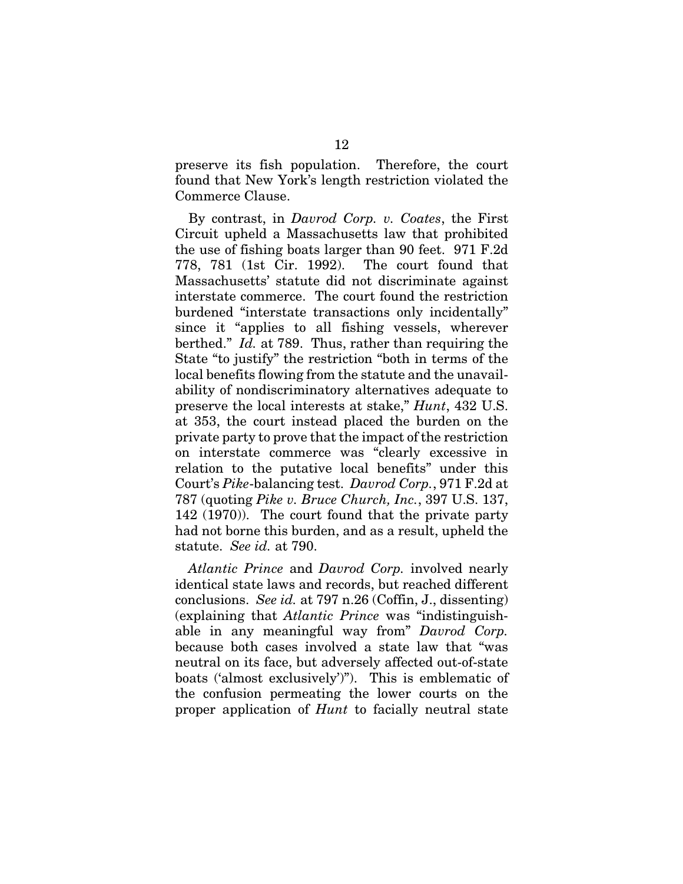preserve its fish population. Therefore, the court found that New York's length restriction violated the Commerce Clause.

By contrast, in *Davrod Corp. v. Coates*, the First Circuit upheld a Massachusetts law that prohibited the use of fishing boats larger than 90 feet. 971 F.2d 778, 781 (1st Cir. 1992). The court found that Massachusetts' statute did not discriminate against interstate commerce. The court found the restriction burdened "interstate transactions only incidentally" since it "applies to all fishing vessels, wherever berthed." *Id.* at 789. Thus, rather than requiring the State "to justify" the restriction "both in terms of the local benefits flowing from the statute and the unavailability of nondiscriminatory alternatives adequate to preserve the local interests at stake," *Hunt*, 432 U.S. at 353, the court instead placed the burden on the private party to prove that the impact of the restriction on interstate commerce was "clearly excessive in relation to the putative local benefits" under this Court's *Pike*-balancing test. *Davrod Corp.*, 971 F.2d at 787 (quoting *Pike v. Bruce Church, Inc.*, 397 U.S. 137, 142 (1970)). The court found that the private party had not borne this burden, and as a result, upheld the statute. *See id.* at 790.

*Atlantic Prince* and *Davrod Corp.* involved nearly identical state laws and records, but reached different conclusions. *See id.* at 797 n.26 (Coffin, J., dissenting) (explaining that *Atlantic Prince* was "indistinguishable in any meaningful way from" *Davrod Corp.*  because both cases involved a state law that "was neutral on its face, but adversely affected out-of-state boats ('almost exclusively')"). This is emblematic of the confusion permeating the lower courts on the proper application of *Hunt* to facially neutral state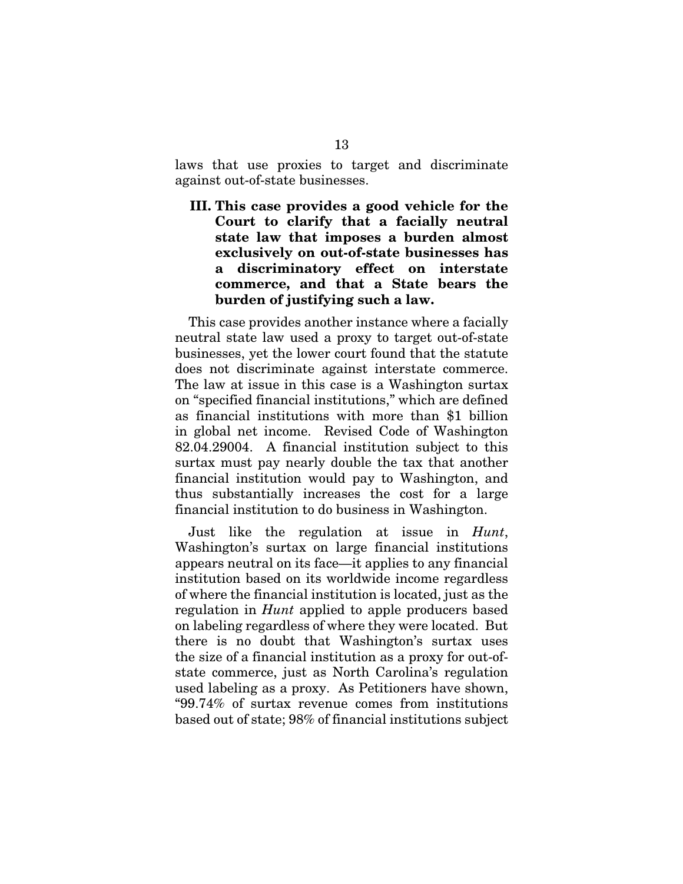laws that use proxies to target and discriminate against out-of-state businesses.

III. This case provides a good vehicle for the Court to clarify that a facially neutral state law that imposes a burden almost exclusively on out-of-state businesses has a discriminatory effect on interstate commerce, and that a State bears the burden of justifying such a law.

This case provides another instance where a facially neutral state law used a proxy to target out-of-state businesses, yet the lower court found that the statute does not discriminate against interstate commerce. The law at issue in this case is a Washington surtax on "specified financial institutions," which are defined as financial institutions with more than \$1 billion in global net income. Revised Code of Washington 82.04.29004. A financial institution subject to this surtax must pay nearly double the tax that another financial institution would pay to Washington, and thus substantially increases the cost for a large financial institution to do business in Washington.

Just like the regulation at issue in *Hunt*, Washington's surtax on large financial institutions appears neutral on its face—it applies to any financial institution based on its worldwide income regardless of where the financial institution is located, just as the regulation in *Hunt* applied to apple producers based on labeling regardless of where they were located. But there is no doubt that Washington's surtax uses the size of a financial institution as a proxy for out-ofstate commerce, just as North Carolina's regulation used labeling as a proxy. As Petitioners have shown, "99.74% of surtax revenue comes from institutions based out of state; 98% of financial institutions subject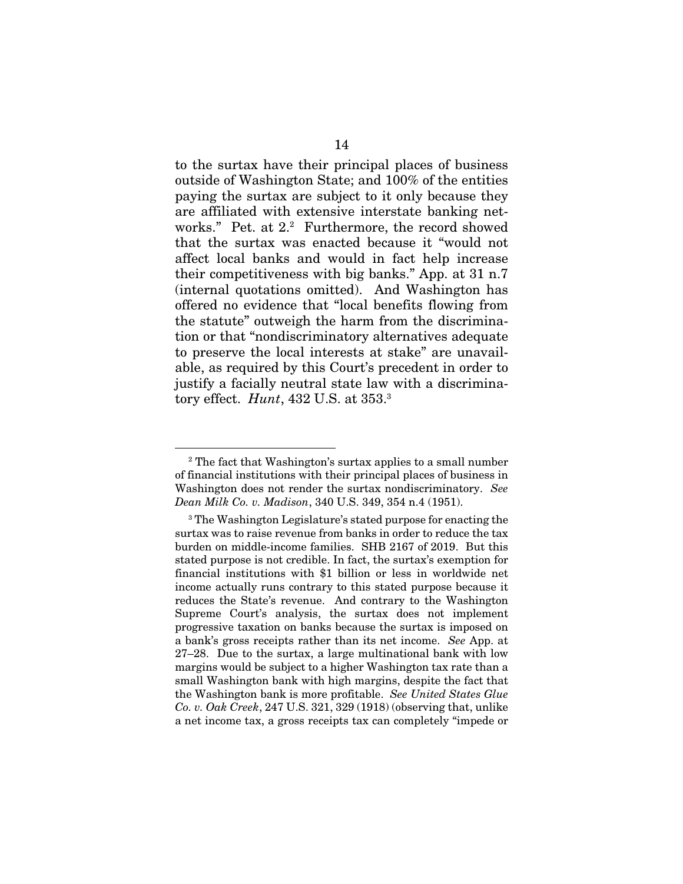to the surtax have their principal places of business outside of Washington State; and 100% of the entities paying the surtax are subject to it only because they are affiliated with extensive interstate banking networks." Pet. at 2.<sup>2</sup> Furthermore, the record showed that the surtax was enacted because it "would not affect local banks and would in fact help increase their competitiveness with big banks." App. at 31 n.7 (internal quotations omitted). And Washington has offered no evidence that "local benefits flowing from the statute" outweigh the harm from the discrimination or that "nondiscriminatory alternatives adequate to preserve the local interests at stake" are unavailable, as required by this Court's precedent in order to justify a facially neutral state law with a discriminatory effect. *Hunt*, 432 U.S. at 353.3

<sup>&</sup>lt;sup>2</sup> The fact that Washington's surtax applies to a small number of financial institutions with their principal places of business in Washington does not render the surtax nondiscriminatory. *See Dean Milk Co. v. Madison*, 340 U.S. 349, 354 n.4 (1951).

<sup>&</sup>lt;sup>3</sup> The Washington Legislature's stated purpose for enacting the surtax was to raise revenue from banks in order to reduce the tax burden on middle-income families. SHB 2167 of 2019. But this stated purpose is not credible. In fact, the surtax's exemption for financial institutions with \$1 billion or less in worldwide net income actually runs contrary to this stated purpose because it reduces the State's revenue. And contrary to the Washington Supreme Court's analysis, the surtax does not implement progressive taxation on banks because the surtax is imposed on a bank's gross receipts rather than its net income. *See* App. at 27–28. Due to the surtax, a large multinational bank with low margins would be subject to a higher Washington tax rate than a small Washington bank with high margins, despite the fact that the Washington bank is more profitable. *See United States Glue Co. v. Oak Creek*, 247 U.S. 321, 329 (1918) (observing that, unlike a net income tax, a gross receipts tax can completely "impede or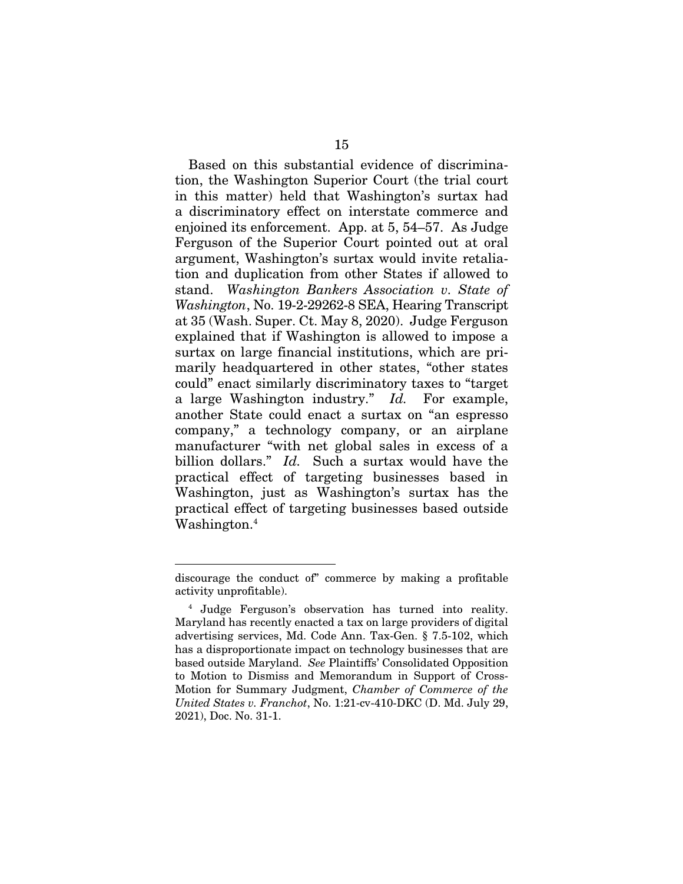Based on this substantial evidence of discrimination, the Washington Superior Court (the trial court in this matter) held that Washington's surtax had a discriminatory effect on interstate commerce and enjoined its enforcement. App. at 5, 54–57. As Judge Ferguson of the Superior Court pointed out at oral argument, Washington's surtax would invite retaliation and duplication from other States if allowed to stand. *Washington Bankers Association v. State of Washington*, No. 19-2-29262-8 SEA, Hearing Transcript at 35 (Wash. Super. Ct. May 8, 2020). Judge Ferguson explained that if Washington is allowed to impose a surtax on large financial institutions, which are primarily headquartered in other states, "other states could" enact similarly discriminatory taxes to "target a large Washington industry." *Id.* For example, another State could enact a surtax on "an espresso company," a technology company, or an airplane manufacturer "with net global sales in excess of a billion dollars." *Id.* Such a surtax would have the practical effect of targeting businesses based in Washington, just as Washington's surtax has the practical effect of targeting businesses based outside Washington.<sup>4</sup>

discourage the conduct of" commerce by making a profitable activity unprofitable).

<sup>4</sup> Judge Ferguson's observation has turned into reality. Maryland has recently enacted a tax on large providers of digital advertising services, Md. Code Ann. Tax-Gen. § 7.5-102, which has a disproportionate impact on technology businesses that are based outside Maryland. *See* Plaintiffs' Consolidated Opposition to Motion to Dismiss and Memorandum in Support of Cross-Motion for Summary Judgment, *Chamber of Commerce of the United States v. Franchot*, No. 1:21-cv-410-DKC (D. Md. July 29, 2021), Doc. No. 31-1.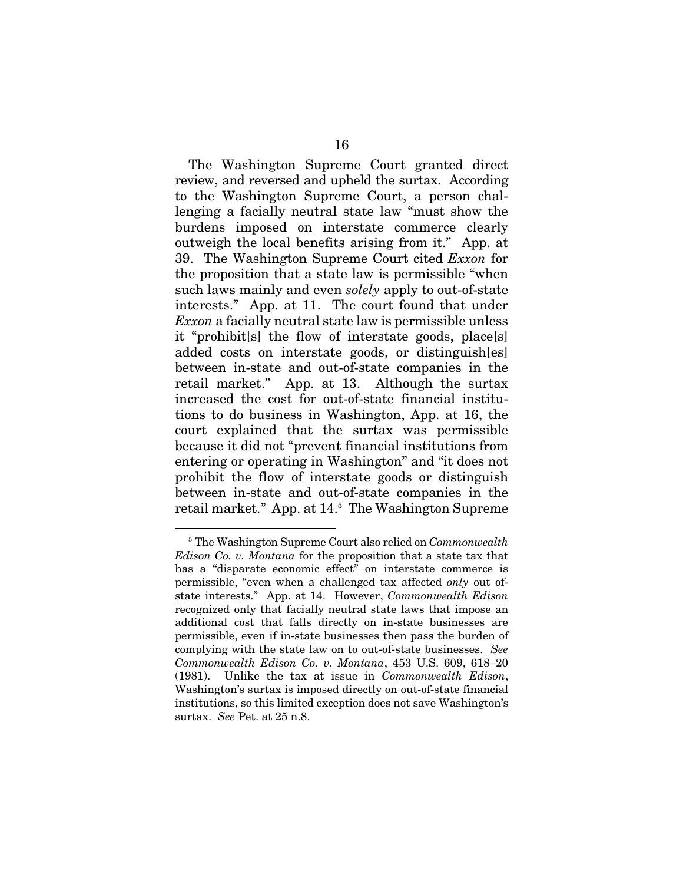The Washington Supreme Court granted direct review, and reversed and upheld the surtax. According to the Washington Supreme Court, a person challenging a facially neutral state law "must show the burdens imposed on interstate commerce clearly outweigh the local benefits arising from it." App. at 39. The Washington Supreme Court cited *Exxon* for the proposition that a state law is permissible "when such laws mainly and even *solely* apply to out-of-state interests." App. at 11. The court found that under *Exxon* a facially neutral state law is permissible unless it "prohibit[s] the flow of interstate goods, place[s] added costs on interstate goods, or distinguish[es] between in-state and out-of-state companies in the retail market." App. at 13. Although the surtax increased the cost for out-of-state financial institutions to do business in Washington, App. at 16, the court explained that the surtax was permissible because it did not "prevent financial institutions from entering or operating in Washington" and "it does not prohibit the flow of interstate goods or distinguish between in-state and out-of-state companies in the retail market." App. at 14.5 The Washington Supreme

<sup>5</sup> The Washington Supreme Court also relied on *Commonwealth Edison Co. v. Montana* for the proposition that a state tax that has a "disparate economic effect" on interstate commerce is permissible, "even when a challenged tax affected *only* out ofstate interests." App. at 14. However, *Commonwealth Edison*  recognized only that facially neutral state laws that impose an additional cost that falls directly on in-state businesses are permissible, even if in-state businesses then pass the burden of complying with the state law on to out-of-state businesses. *See Commonwealth Edison Co. v. Montana*, 453 U.S. 609, 618–20 (1981). Unlike the tax at issue in *Commonwealth Edison*, Washington's surtax is imposed directly on out-of-state financial institutions, so this limited exception does not save Washington's surtax. *See* Pet. at 25 n.8.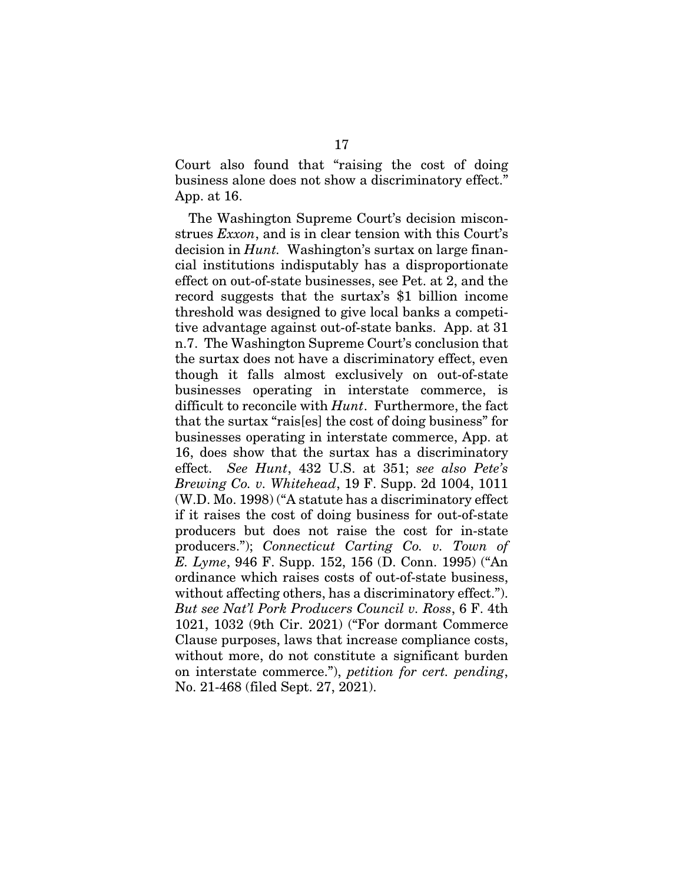Court also found that "raising the cost of doing business alone does not show a discriminatory effect." App. at 16.

The Washington Supreme Court's decision misconstrues *Exxon*, and is in clear tension with this Court's decision in *Hunt.* Washington's surtax on large financial institutions indisputably has a disproportionate effect on out-of-state businesses, see Pet. at 2, and the record suggests that the surtax's \$1 billion income threshold was designed to give local banks a competitive advantage against out-of-state banks. App. at 31 n.7. The Washington Supreme Court's conclusion that the surtax does not have a discriminatory effect, even though it falls almost exclusively on out-of-state businesses operating in interstate commerce, is difficult to reconcile with *Hunt*. Furthermore, the fact that the surtax "rais[es] the cost of doing business" for businesses operating in interstate commerce, App. at 16, does show that the surtax has a discriminatory effect. *See Hunt*, 432 U.S. at 351; *see also Pete's Brewing Co. v. Whitehead*, 19 F. Supp. 2d 1004, 1011 (W.D. Mo. 1998) ("A statute has a discriminatory effect if it raises the cost of doing business for out-of-state producers but does not raise the cost for in-state producers."); *Connecticut Carting Co. v. Town of E. Lyme*, 946 F. Supp. 152, 156 (D. Conn. 1995) ("An ordinance which raises costs of out-of-state business, without affecting others, has a discriminatory effect."). *But see Nat'l Pork Producers Council v. Ross*, 6 F. 4th 1021, 1032 (9th Cir. 2021) ("For dormant Commerce Clause purposes, laws that increase compliance costs, without more, do not constitute a significant burden on interstate commerce."), *petition for cert. pending*, No. 21-468 (filed Sept. 27, 2021).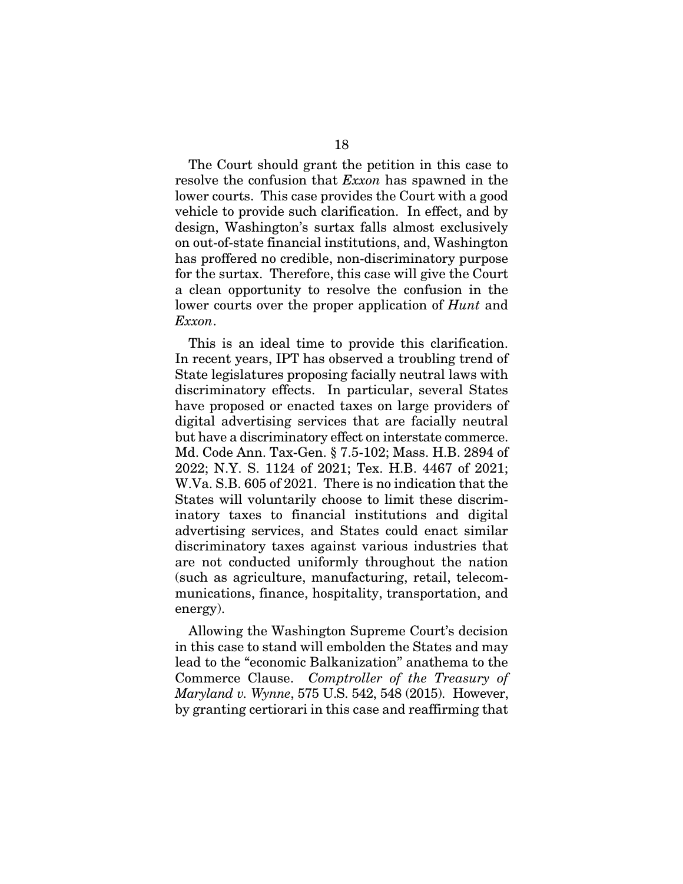The Court should grant the petition in this case to resolve the confusion that *Exxon* has spawned in the lower courts. This case provides the Court with a good vehicle to provide such clarification. In effect, and by design, Washington's surtax falls almost exclusively on out-of-state financial institutions, and, Washington has proffered no credible, non-discriminatory purpose for the surtax. Therefore, this case will give the Court a clean opportunity to resolve the confusion in the lower courts over the proper application of *Hunt* and *Exxon*.

This is an ideal time to provide this clarification. In recent years, IPT has observed a troubling trend of State legislatures proposing facially neutral laws with discriminatory effects. In particular, several States have proposed or enacted taxes on large providers of digital advertising services that are facially neutral but have a discriminatory effect on interstate commerce. Md. Code Ann. Tax-Gen. § 7.5-102; Mass. H.B. 2894 of 2022; N.Y. S. 1124 of 2021; Tex. H.B. 4467 of 2021; W.Va. S.B. 605 of 2021. There is no indication that the States will voluntarily choose to limit these discriminatory taxes to financial institutions and digital advertising services, and States could enact similar discriminatory taxes against various industries that are not conducted uniformly throughout the nation (such as agriculture, manufacturing, retail, telecommunications, finance, hospitality, transportation, and energy).

Allowing the Washington Supreme Court's decision in this case to stand will embolden the States and may lead to the "economic Balkanization" anathema to the Commerce Clause. *Comptroller of the Treasury of Maryland v. Wynne*, 575 U.S. 542, 548 (2015). However, by granting certiorari in this case and reaffirming that